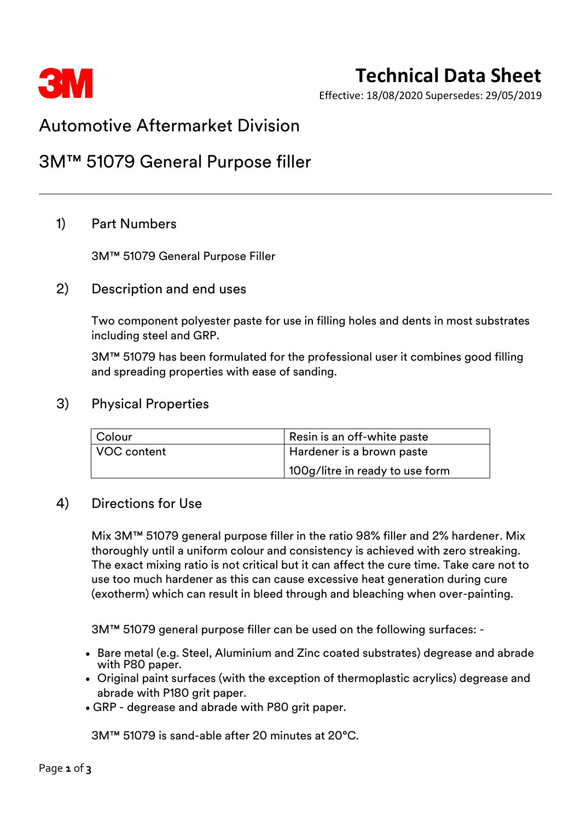

# **Technical Data Sheet**

Effective: 18/08/2020 Supersedes: 29/05/2019

# Automotive Aftermarket Division

# 3M™ 51079 General Purpose filler

## 1) Part Numbers

3M™ 51079 General Purpose Filler

### 2) Description and end uses

Two component polyester paste for use in filling holes and dents in most substrates including steel and GRP.

3M™ 51079 has been formulated for the professional user it combines good filling and spreading properties with ease of sanding.

#### 3) Physical Properties

| Colour      | Resin is an off-white paste     |  |
|-------------|---------------------------------|--|
| VOC content | Hardener is a brown paste       |  |
|             | 100g/litre in ready to use form |  |

#### 4) Directions for Use

Mix 3M™ 51079 general purpose filler in the ratio 98% filler and 2% hardener. Mix thoroughly until a uniform colour and consistency is achieved with zero streaking. The exact mixing ratio is not critical but it can affect the cure time. Take care not to use too much hardener as this can cause excessive heat generation during cure (exotherm) which can result in bleed through and bleaching when over-painting.

3M™ 51079 general purpose filler can be used on the following surfaces: -

- Bare metal (e.g. Steel, Aluminium and Zinc coated substrates) degrease and abrade with P80 paper.
- Original paint surfaces (with the exception of thermoplastic acrylics) degrease and abrade with P180 grit paper.
- GRP degrease and abrade with P80 grit paper.

3M™ 51079 is sand-able after 20 minutes at 20°C.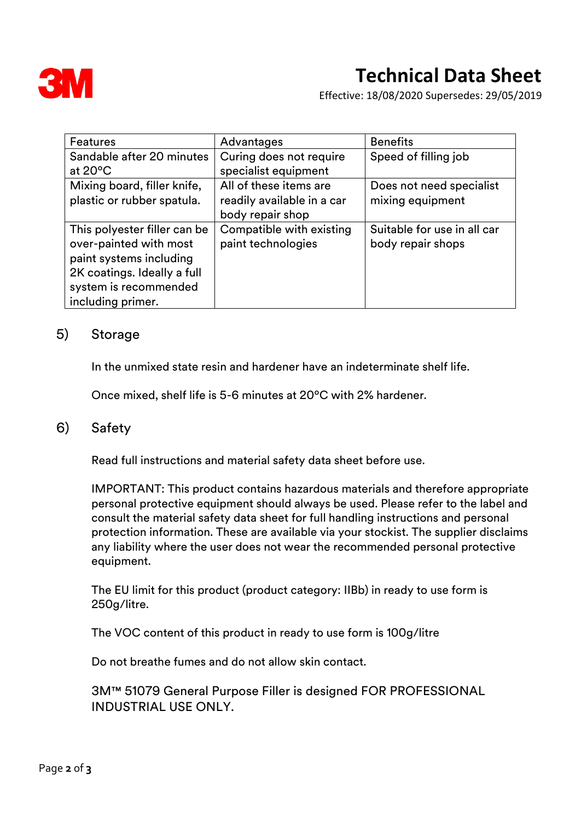

Effective: 18/08/2020 Supersedes: 29/05/2019

| <b>Features</b>                                                                                                                                                | Advantages                                                               | <b>Benefits</b>                                  |
|----------------------------------------------------------------------------------------------------------------------------------------------------------------|--------------------------------------------------------------------------|--------------------------------------------------|
| Sandable after 20 minutes<br>at $20^{\circ}$ C                                                                                                                 | Curing does not require<br>specialist equipment                          | Speed of filling job                             |
| Mixing board, filler knife,<br>plastic or rubber spatula.                                                                                                      | All of these items are<br>readily available in a car<br>body repair shop | Does not need specialist<br>mixing equipment     |
| This polyester filler can be<br>over-painted with most<br>paint systems including<br>2K coatings. Ideally a full<br>system is recommended<br>including primer. | Compatible with existing<br>paint technologies                           | Suitable for use in all car<br>body repair shops |

### 5) Storage

In the unmixed state resin and hardener have an indeterminate shelf life.

Once mixed, shelf life is 5-6 minutes at 20ºC with 2% hardener.

#### 6) Safety

Read full instructions and material safety data sheet before use.

IMPORTANT: This product contains hazardous materials and therefore appropriate personal protective equipment should always be used. Please refer to the label and consult the material safety data sheet for full handling instructions and personal protection information. These are available via your stockist. The supplier disclaims any liability where the user does not wear the recommended personal protective equipment.

The EU limit for this product (product category: IIBb) in ready to use form is 250g/litre.

The VOC content of this product in ready to use form is 100g/litre

Do not breathe fumes and do not allow skin contact.

3M™ 51079 General Purpose Filler is designed FOR PROFESSIONAL INDUSTRIAL USE ONLY.